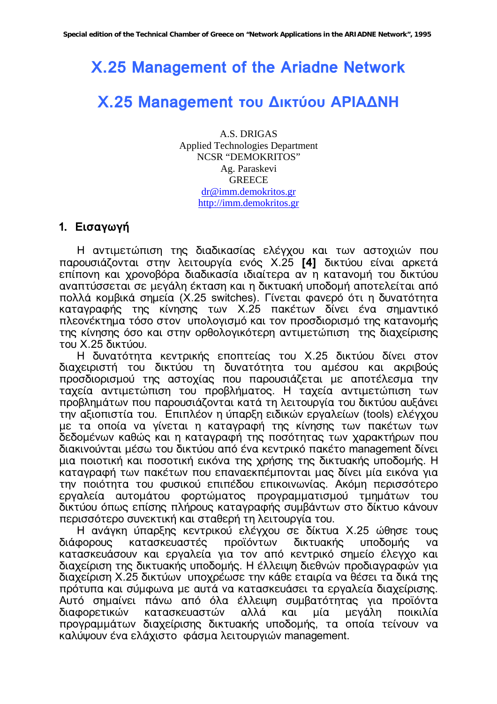# X.25 Management of the Ariadne Network

# Χ.25 Management του Δικτύου ΑΡΙΑΔΝΗ

A.S. DRIGAS **Applied Technologies Department NCSR "DEMOKRITOS"** Ag. Paraskevi **GREECE** dr@imm.demokritos.gr http://imm.demokritos.gr

#### 1. Εισαγωγή

Η αντιμετώπιση της διαδικασίας ελέγχου και των αστοχιών που παρουσιάζονται στην λειτουργία ενός Χ.25 [4] δικτύου είναι αρκετά επίπονη και χρονοβόρα διαδικασία ιδιαίτερα αν η κατανομή του δικτύου αναπτύσσεται σε μεγάλη έκταση και η δικτυακή υποδομή αποτελείται από πολλά κομβικά σημεία (X.25 switches). Γίνεται φανερό ότι η δυνατότητα καταγραφής της κίνησης των Χ.25 πακέτων δίνει ένα σημαντικό πλεονέκτημα τόσο στον υπολογισμό και τον προσδιορισμό της κατανομής της κίνησης όσο και στην ορθολογικότερη αντιμετώπιση της διαχείρισης του Χ.25 δικτύου.

Η δυνατότητα κεντρικής εποπτείας του Χ.25 δικτύου δίνει στον διαχειριστή του δικτύου τη δυνατότητα του αμέσου και ακριβούς προσδιορισμού της αστοχίας που παρουσιάζεται με αποτέλεσμα την ταχεία αντιμετώπιση του προβλήματος. Η ταχεία αντιμετώπιση των προβλημάτων που παρουσιάζονται κατά τη λειτουργία του δικτύου αυξάνει την αξιοπιστία του. Επιπλέον η ύπαρξη ειδικών εργαλείων (tools) ελέγχου με τα οποία να γίνεται η καταγραφή της κίνησης των πακέτων των δεδομένων καθώς και η καταγραφή της ποσότητας των χαρακτήρων που διακινούνται μέσω του δικτύου από ένα κεντρικό πακέτο management δίνει μια ποιοτική και ποσοτική εικόνα της χρήσης της δικτυακής υποδομής. Η καταγραφή των πακέτων που επαναεκπέμπονται μας δίνει μία εικόνα για την ποιότητα του φυσικού επιπέδου επικοινωνίας. Ακόμη περισσότερο εργαλεία αυτομάτου φορτώματος προγραμματισμού τμημάτων του δικτύου όπως επίσης πλήρους καταγραφής συμβάντων στο δίκτυο κάνουν περισσότερο συνεκτική και σταθερή τη λειτουργία του.

Η ανάγκη ύπαρξης κεντρικού ελέγχου σε δίκτυα Χ.25 ώθησε τους διάφορους κατασκευαστές προϊόντων δικτυακής υποδομής va κατασκευάσουν και εργαλεία για τον από κεντρικό σημείο έλεγχο και διαχείριση της δικτυακής υποδομής. Η έλλειψη διεθνών προδιαγραφών για διαχείριση Χ.25 δικτύων υποχρέωσε την κάθε εταιρία να θέσει τα δικά της πρότυπα και σύμφωνα με αυτά να κατασκευάσει τα εργαλεία διαχείρισης. Αυτό σημαίνει πάνω από όλα έλλειψη συμβατότητας για προϊόντα διαφορετικών κατασκευαστών αλλά και μία μεγάλη ποικιλία προγραμμάτων διαχείρισης δικτυακής υποδομής, τα οποία τείνουν να καλύψουν ένα ελάχιστο φάσμα λειτουργιών management.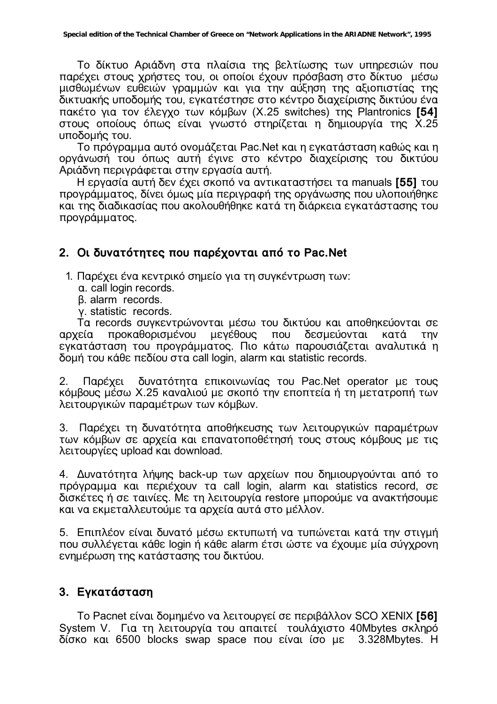Το δίκτυο Αριάδνη στα πλαίσια της βελτίωσης των υπηρεσιών που παρέχει στους χρήστες του, οι οποίοι έχουν πρόσβαση στο δίκτυο μέσω μισθωμένων ευθειών γραμμών και για την αύξηση της αξιοπιστίας της δικτυακής υποδομής του, εγκατέστησε στο κέντρο διαχείρισης δικτύου ένα πακέτο για τον έλεγχο των κόμβων (Χ.25 switches) της Plantronics [54] στους οποίους όπως είναι γνωστό στηρίζεται η δημιουργία της Χ.25 υποδομής του.

Το πρόνραμμα αυτό ονομάζεται Pac.Net και η ενκατάσταση καθώς και η οργάνωσή του όπως αυτή έγινε στο κέντρο διαχείρισης του δικτύου Αριάδνη περιγράφεται στην εργασία αυτή.

Η εργασία αυτή δεν έχει σκοπό να αντικαταστήσει τα manuals [55] του προγράμματος, δίνει όμως μία περιγραφή της οργάνωσης που υλοποιήθηκε και της διαδικασίας που ακολουθήθηκε κατά τη διάρκεια εγκατάστασης του προγράμματος.

## 2. Οι δυνατότητες που παρέχονται από το Pac.Net

1. Παρέχει ένα κεντρικό σημείο για τη συγκέντρωση των:

- a. call login records.
- B. alarm records.
- v. statistic records.

Ta records συγκεντρώνονται μέσω του δικτύου και αποθηκεύονται σε προκαθορισμένου μενέθους που δεσμεύονται κατά **TNV** αργεία εγκατάσταση του προγράμματος. Πιο κάτω παρουσιάζεται αναλυτικά η δομή του κάθε πεδίου στα call login, alarm και statistic records.

Παρέχει δυνατότητα επικοινωνίας του Pac.Net operator με τους  $2.$ κόμβους μέσω Χ.25 καναλιού με σκοπό την εποπτεία ή τη μετατροπή των λειτουργικών παραμέτρων των κόμβων.

3. Παρέχει τη δυνατότητα αποθήκευσης των λειτουργικών παραμέτρων των κόμβων σε αρχεία και επανατοποθέτησή τους στους κόμβους με τις λειτουργίες upload και download.

4. Δυνατότητα λήψης back-up των αρχείων που δημιουργούνται από το πρόγραμμα και περιέχουν τα call login, alarm και statistics record, σε δισκέτες ή σε ταινίες. Με τη λειτουργία restore μπορούμε να ανακτήσουμε και να εκμεταλλευτούμε τα αρχεία αυτά στο μέλλον.

5. Επιπλέον είναι δυνατό μέσω εκτυπωτή να τυπώνεται κατά την στιγμή που συλλέγεται κάθε login ή κάθε alarm έτσι ώστε να έχουμε μία σύγχρονη ενημέρωση της κατάστασης του δικτύου.

## 3. Εγκατάσταση

To Pacnet είναι δομημένο να λειτουργεί σε περιβάλλον SCO XENIX [56] System V. Για τη λειτουργία του απαιτεί τουλάχιστο 40Mbytes σκληρό δίσκο και 6500 blocks swap space που είναι ίσο με 3.328Mbytes. Η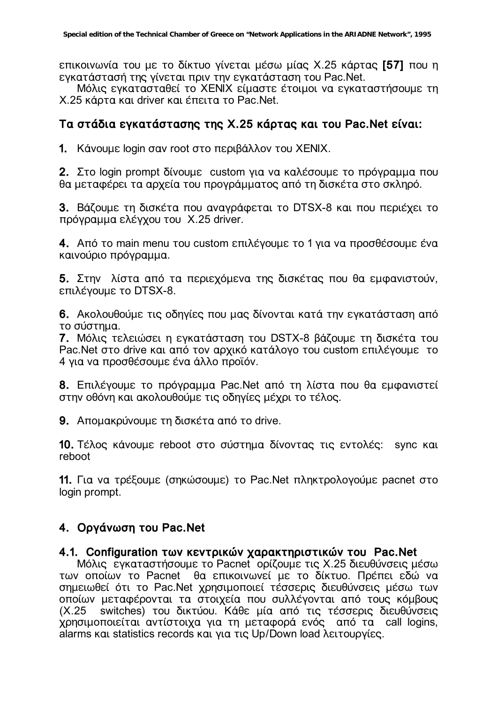επικοινωνία του με το δίκτυο γίνεται μέσω μίας Χ.25 κάρτας [57] που η εγκατάστασή της γίνεται πριν την εγκατάσταση του Pac.Net.

Μόλις ενκατασταθεί το ΧΕΝΙΧ είμαστε έτοιμοι να ενκαταστήσουμε τη X.25 κάρτα και driver και έπειτα το Pac.Net.

## Tα στάδια εγκατάστασης της Χ.25 κάρτας και του Pac.Net είναι:

**1.** Κάνουμε login σαν root στο περιβάλλον του ΧΕΝΙΧ.

**2.** Στο login prompt δίνουμε custom για να καλέσουμε το πρόγραμμα που θα μεταφέρει τα αρχεία του προγράμματος από τη δισκέτα στο σκληρό.

**3.** Βάζουμε τη δισκέτα που ανανράφεται το DTSX-8 και που περιέχει το πρόγραμμα ελέγχου του Χ.25 driver.

**4.** Aπό το main menu του custom επιλέγουμε το 1 για να προσθέσουμε ένα καινούριο πρόγραμμα.

**5.** Στην λίστα από τα περιεχόμενα της δισκέτας που θα εμφανιστούν, επιλέγουμε το DTSX-8.

**6.** Ακολουθούμε τις οδηγίες που μας δίνονται κατά την εγκατάσταση από το σύστημα.

**7.** Μόλις τελειώσει η εγκατάσταση του DSTX-8 βάζουμε τη δισκέτα του Pac.Net στο drive και από τον αρχικό κατάλογο του custom επιλέγουμε το 4 για να προσθέσουμε ένα άλλο προϊόν.

**8.** Επιλέγουμε το πρόγραμμα Pac.Net από τη λίστα που θα εμφανιστεί στην οθόνη και ακολουθούμε τις οδηγίες μέχρι το τέλος.

**9.** Απομακρύνουμε τη δισκέτα από το drive.

**10.** Τέλος κάνουμε reboot στο σύστημα δίνοντας τις εντολές: sync και reboot

11. Για να τρέξουμε (σηκώσουμε) το Pac.Net πληκτρολογούμε pacnet στο login prompt.

## **4. Οργάνωση του Pac.Net**

#### **4.1. Configuration των κεντρικών χαρακτηριστικών του Pac.Net**

Μόλις εγκαταστήσουμε το Pacnet ορίζουμε τις Χ.25 διευθύνσεις μέσω των οποίων το Pacnet θα επικοινωνεί με το δίκτυο. Πρέπει εδώ να σημειωθεί ότι το Pac.Net χρησιμοποιεί τέσσερις διευθύνσεις μέσω των οποίων μεταφέρονται τα στοιχεία που συλλέγονται από τους κόμβους (Χ.25 switches) του δικτύου. Κάθε μία από τις τέσσερις διευθύνσεις χρησιμοποιείται αντίστοιχα για τη μεταφορά ενός από τα call logins, alarms και statistics records και για τις Up/Down load λειτουργίες.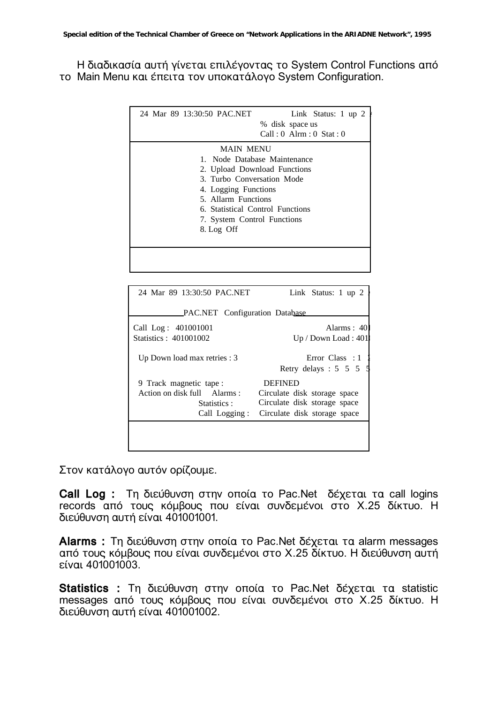Η διαδικασία αυτή γίνεται επιλέγοντας το System Control Functions από το Main Menu και έπειτα τον υποκατάλογο System Configuration.

| 24 Mar 89 13:30:50 PAC.NET<br>Link Status: $1 \text{ up } 2$<br>% disk space us<br>$Call: 0$ Alrm : 0 Stat : 0 |  |  |  |  |
|----------------------------------------------------------------------------------------------------------------|--|--|--|--|
| <b>MAIN MENU</b>                                                                                               |  |  |  |  |
| 1. Node Database Maintenance                                                                                   |  |  |  |  |
| 2. Upload Download Functions                                                                                   |  |  |  |  |
| 3. Turbo Conversation Mode                                                                                     |  |  |  |  |
| 4. Logging Functions                                                                                           |  |  |  |  |
| 5. Allarm Functions                                                                                            |  |  |  |  |
| 6. Statistical Control Functions                                                                               |  |  |  |  |
| 7. System Control Functions                                                                                    |  |  |  |  |
| 8. Log Off                                                                                                     |  |  |  |  |
|                                                                                                                |  |  |  |  |
|                                                                                                                |  |  |  |  |
|                                                                                                                |  |  |  |  |
|                                                                                                                |  |  |  |  |

| 24 Mar 89 13:30:50 PAC.NET            | Link Status: 1 up 2                    |  |  |  |  |  |  |
|---------------------------------------|----------------------------------------|--|--|--|--|--|--|
| <b>PAC.NET</b> Configuration Database |                                        |  |  |  |  |  |  |
| Call Log: 401001001                   | Alarms: 40                             |  |  |  |  |  |  |
| Statistics: 401001002                 | Up / Down Load : 401                   |  |  |  |  |  |  |
| Up Down load max retries : 3          | Error Class : 1<br>Retry delays: 5 5 5 |  |  |  |  |  |  |
| 9 Track magnetic tape:                | <b>DEFINED</b>                         |  |  |  |  |  |  |
| Action on disk full Alarms:           | Circulate disk storage space           |  |  |  |  |  |  |
| Statistics :                          | Circulate disk storage space           |  |  |  |  |  |  |
| Call Logging:                         | Circulate disk storage space           |  |  |  |  |  |  |
|                                       |                                        |  |  |  |  |  |  |
|                                       |                                        |  |  |  |  |  |  |
|                                       |                                        |  |  |  |  |  |  |

Στον κατάλογο αυτόν ορίζουμε.

Call Log : Τη διεύθυνση στην οποία το Pac.Net δέχεται τα call logins records από τους κόμβους που είναι συνδεμένοι στο Χ.25 δίκτυο. Η διεύθυνση αυτή είναι 401001001.

Alarms : Τη διεύθυνση στην οποία το Pac. Net δέχεται τα alarm messages από τους κόμβους που είναι συνδεμένοι στο Χ.25 δίκτυο. Η διεύθυνση αυτή είναι 401001003.

Statistics : Τη διεύθυνση στην οποία το Pac.Net δέχεται τα statistic messages από τους κόμβους που είναι συνδεμένοι στο Χ.25 δίκτυο. Η διεύθυνση αυτή είναι 401001002.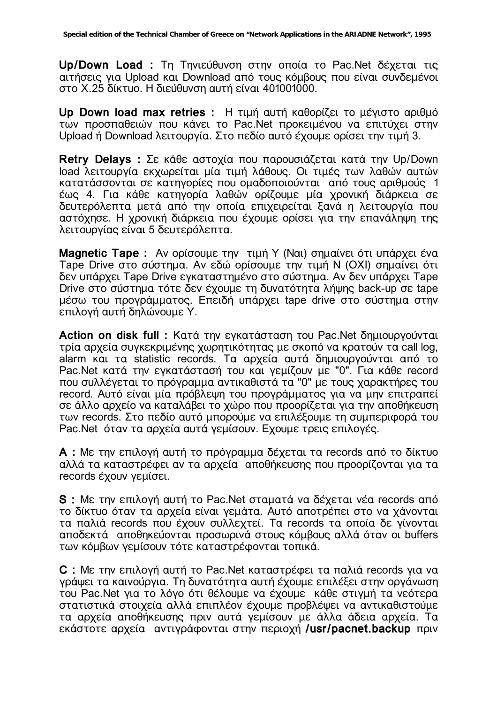Up/Down Load: Τη Τηνιεύθυνση στην οποία το Pac. Net δέχεται τις αιτήσεις για Upload και Download από τους κόμβους που είναι συνδεμένοι στο Χ.25 δίκτυο. Η διεύθυνση αυτή είναι 401001000.

Up Down load max retries : Η τιμή αυτή καθορίζει το μέγιστο αριθμό των προσπαθειών που κάνει το Pac.Net προκειμένου να επιτύχει στην Upload ή Download λειτουργία. Στο πεδίο αυτό έχουμε ορίσει την τιμή 3.

Retry Delays : Σε κάθε αστοχία που παρουσιάζεται κατά την Up/Down load λειτουρνία εκχωρείται μία τιμή λάθους. Οι τιμές των λαθών αυτών κατατάσσονται σε κατηγορίες που ομαδοποιούνται από τους αριθμούς 1 έως 4. Για κάθε κατηγορία λαθών ορίζουμε μία χρονική διάρκεια σε δευτερόλεπτα μετά από την οποία επιχειρείται ξανά η λειτουργία που αστόχησε. Η χρονική διάρκεια που έχουμε ορίσει για την επανάληψη της λειτουργίας είναι 5 δευτερόλεπτα.

**Magnetic Tape:** Αν ορίσουμε την τιμή Υ (Ναι) σημαίνει ότι υπάρχει ένα Tape Drive στο σύστημα. Αν εδώ ορίσουμε την τιμή N (OXI) σημαίνει ότι δεν υπάρχει Tape Drive εγκαταστημένο στο σύστημα. Αν δεν υπάρχει Tape Drive στο σύστημα τότε δεν έχουμε τη δυνατότητα λήψης back-up σε tape μέσω του προγράμματος. Επειδή υπάρχει tape drive στο σύστημα στην επιλογή αυτή δηλώνουμε Υ.

Action on disk full: Κατά την εγκατάσταση του Pac. Net δημιουργούνται τρία αρχεία συγκεκριμένης χωρητικότητας με σκοπό να κρατούν τα call log, alarm και τα statistic records. Τα αρχεία αυτά δημιουργούνται από το Pac. Net κατά την εγκατάστασή του και γεμίζουν με "0". Για κάθε record που συλλέγεται το πρόγραμμα αντικαθιστά τα "0" με τους χαρακτήρες του record. Αυτό είναι μία πρόβλεψη του προγράμματος για να μην επιτραπεί σε άλλο αρχείο να καταλάβει το χώρο που προορίζεται για την αποθήκευση των records. Στο πεδίο αυτό μπορούμε να επιλέξουμε τη συμπεριφορά του Pac. Net όταν τα αρχεία αυτά γεμίσουν. Εχουμε τρεις επιλογές.

A : Με την επιλογή αυτή το πρόγραμμα δέχεται τα records από το δίκτυο αλλά τα καταστρέφει αν τα αρχεία αποθήκευσης που προορίζονται για τα records έχουν γεμίσει.

S : Με την επιλογή αυτή το Pac. Net σταματά να δέχεται νέα records από το δίκτυο όταν τα αρχεία είναι γεμάτα. Αυτό αποτρέπει στο να χάνονται τα παλιά records που έχουν συλλεχτεί. Τα records τα οποία δε γίνονται αποδεκτά αποθηκεύονται προσωρινά στους κόμβους αλλά όταν οι buffers των κόμβων γεμίσουν τότε καταστρέφονται τοπικά.

C : Με την επιλογή αυτή το Pac. Net καταστρέφει τα παλιά records για να γράψει τα καινούργια. Τη δυνατότητα αυτή έχουμε επιλέξει στην οργάνωση του Pac.Net για το λόγο ότι θέλουμε να έχουμε κάθε στιγμή τα νεότερα στατιστικά στοιχεία αλλά επιπλέον έχουμε προβλέψει να αντικαθιστούμε τα αρχεία αποθήκευσης πριν αυτά γεμίσουν με άλλα άδεια αρχεία. Τα εκάστοτε αρχεία αντιγράφονται στην περιοχή /usr/pacnet.backup πριν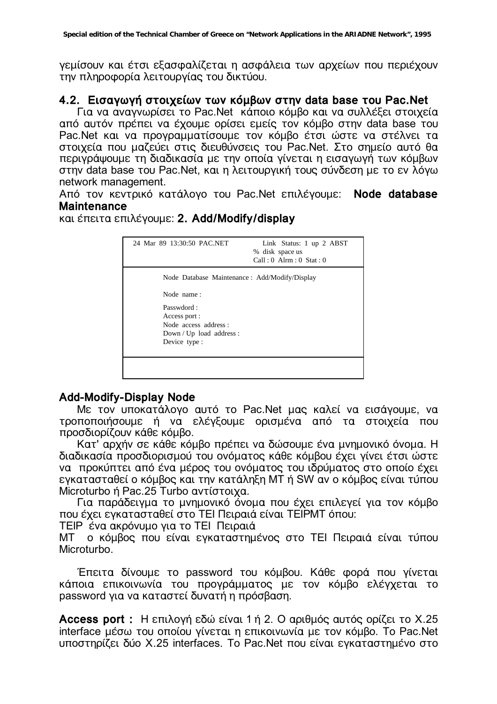γεμίσουν και έτσι εξασφαλίζεται η ασφάλεια των αρχείων που περιέχουν την πληροφορία λειτουργίας του δικτύου.

### 4.2. Εισαγωγή στοιχείων των κόμβων στην data base του Pac.Net

Για να αναγνωρίσει το Pac.Net κάποιο κόμβο και να συλλέξει στοιχεία από αυτόν πρέπει να έχουμε ορίσει εμείς τον κόμβο στην data base του Pac.Net και να προγραμματίσουμε τον κόμβο έτσι ώστε να στέλνει τα στοιχεία που μαζεύει στις διευθύνσεις του Pac.Net. Στο σημείο αυτό θα περιγράψουμε τη διαδικασία με την οποία γίνεται η εισαγωγή των κόμβων στην data base του Pac.Net, και η λειτουργική τους σύνδεση με το εν λόγω network management.

Από τον κεντρικό κατάλογο του Pac.Net επιλέγουμε: Node database **Maintenance** 

### και έπειτα επιλέγουμε: 2. Add/Modify/display

| 24 Mar 89 13:30:50 PAC.NET                    | Link Status: 1 up 2 ABST<br>% disk space us<br>$Call: 0$ Alrm : $0$ Stat : $0$ |  |  |  |  |
|-----------------------------------------------|--------------------------------------------------------------------------------|--|--|--|--|
| Node Database Maintenance: Add/Modify/Display |                                                                                |  |  |  |  |
| Node name:                                    |                                                                                |  |  |  |  |
| Passwdord:                                    |                                                                                |  |  |  |  |
| Access port:                                  |                                                                                |  |  |  |  |
| Node access address :                         |                                                                                |  |  |  |  |
| $Down / Up$ load address:                     |                                                                                |  |  |  |  |
| Device type:                                  |                                                                                |  |  |  |  |
|                                               |                                                                                |  |  |  |  |
|                                               |                                                                                |  |  |  |  |
|                                               |                                                                                |  |  |  |  |
|                                               |                                                                                |  |  |  |  |

#### **Add-Modify-Display Node**

Με τον υποκατάλογο αυτό το Pac.Net μας καλεί να εισάγουμε, να τροποποιήσουμε ή να ελέγξουμε ορισμένα από τα στοιχεία που προσδιορίζουν κάθε κόμβο.

Κατ' αρχήν σε κάθε κόμβο πρέπει να δώσουμε ένα μνημονικό όνομα. Η διαδικασία προσδιορισμού του ονόματος κάθε κόμβου έχει γίνει έτσι ώστε να προκύπτει από ένα μέρος του ονόματος του ιδρύματος στο οποίο έχει εγκατασταθεί ο κόμβος και την κατάληξη MT ή SW αν ο κόμβος είναι τύπου Microturbo ή Pac.25 Turbo αντίστοιχα.

Για παράδειγμα το μνημονικό όνομα που έχει επιλεγεί για τον κόμβο που έχει εγκατασταθεί στο ΤΕΙ Πειραιά είναι ΤΕΙΡΜΤ όπου:

ΤΕΙΡ ένα ακρόνυμο για το ΤΕΙ Πειραιά

MT ο κόμβος που είναι ενκαταστημένος στο ΤΕΙ Πειραιά είναι τύπου **Microturbo** 

Έπειτα δίνουμε το password του κόμβου. Κάθε φορά που γίνεται κάποια επικοινωνία του προγράμματος με τον κόμβο ελέγχεται το password για να καταστεί δυνατή η πρόσβαση.

Access port: Η επιλογή εδώ είναι 1 ή 2. Ο αριθμός αυτός ορίζει το Χ.25 interface μέσω του οποίου γίνεται η επικοινωνία με τον κόμβο. Το Pac.Net υποστηρίζει δύο Χ.25 interfaces. Το Pac.Net που είναι εγκαταστημένο στο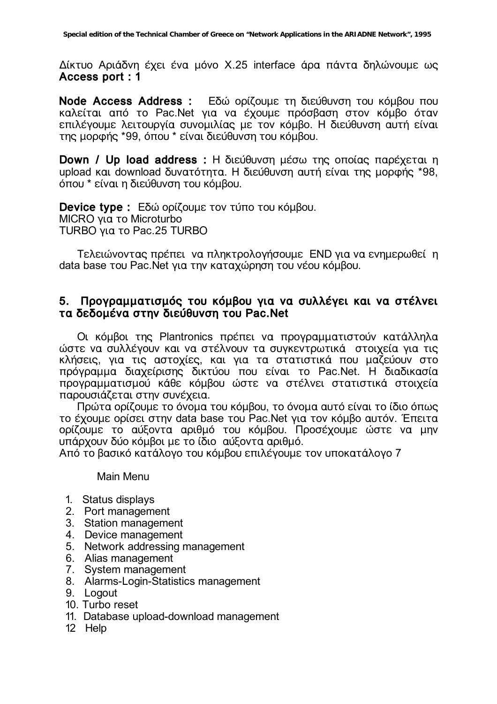Δίκτυο Αριάδνη έχει ένα μόνο Χ.25 interface άρα πάντα δηλώνουμε ως Access port: 1

Node Access Address : Εδώ ορίζουμε τη διεύθυνση του κόμβου που καλείται από το Pac.Net για να έχουμε πρόσβαση στον κόμβο όταν επιλέγουμε λειτουργία συνομιλίας με τον κόμβο. Η διεύθυνση αυτή είναι της μορφής \*99, όπου \* είναι διεύθυνση του κόμβου.

Down / Up load address : Η διεύθυνση μέσω της οποίας παρέχεται η upload και download δυνατότητα. Η διεύθυνση αυτή είναι της μορφής \*98, όπου \* είναι η διεύθυνση του κόμβου.

Device type : Εδώ ορίζουμε τον τύπο του κόμβου. MICRO για το Microturbo TURBO yig to Pac.25 TURBO

Τελειώνοντας πρέπει να πληκτρολογήσουμε END για να ενημερωθεί η data base του Pac. Net για την καταχώρηση του νέου κόμβου.

#### 5. Προγραμματισμός του κόμβου για να συλλέγει και να στέλνει τα δεδομένα στην διεύθυνση του Pac.Net

Οι κόμβοι της Plantronics πρέπει να προγραμματιστούν κατάλληλα ώστε να συλλέγουν και να στέλνουν τα συγκεντρωτικά στοιχεία για τις κλήσεις, για τις αστοχίες, και για τα στατιστικά που μαζεύουν στο πρόγραμμα διαχείρισης δικτύου που είναι το Pac.Net. Η διαδικασία προγραμματισμού κάθε κόμβου ώστε να στέλνει στατιστικά στοιχεία παρουσιάζεται στην συνέχεια.

Πρώτα ορίζουμε το όνομα του κόμβου, το όνομα αυτό είναι το ίδιο όπως το έχουμε ορίσει στην data base του Pac. Net για τον κόμβο αυτόν. Έπειτα ορίζουμε το αύξοντα αριθμό του κόμβου. Προσέχουμε ώστε να μην υπάρχουν δύο κόμβοι με το ίδιο αύξοντα αριθμό.

Από το βασικό κατάλογο του κόμβου επιλέγουμε τον υποκατάλογο 7

Main Menu

- 1. Status displays
- 2. Port management
- 3. Station management
- 4. Device management
- 5. Network addressing management
- 6. Alias management
- 7. System management
- 8. Alarms-Login-Statistics management
- 9. Logout
- 10. Turbo reset
- 11. Database upload-download management
- 12 Help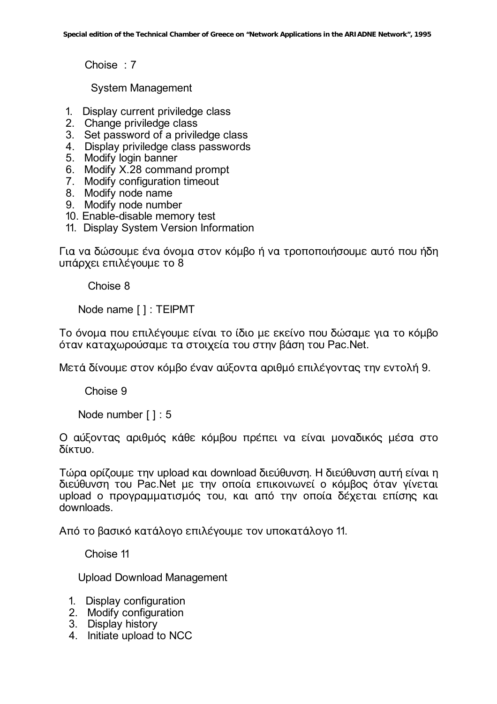Choise: 7

**System Management** 

- 1. Display current priviledge class
- 2. Change priviledge class
- 3. Set password of a priviledge class
- 4. Display priviledge class passwords
- 5. Modify login banner
- 6. Modify X.28 command prompt
- 7. Modify configuration timeout
- 8. Modify node name
- 9. Modify node number
- 10. Enable-disable memory test
- 11. Display System Version Information

Για να δώσουμε ένα όνομα στον κόμβο ή να τροποποιήσουμε αυτό που ήδη υπάρχει επιλέγουμε το 8

Choise 8

Node name []: TEIPMT

Το όνομα που επιλέγουμε είναι το ίδιο με εκείνο που δώσαμε για το κόμβο όταν καταχωρούσαμε τα στοιχεία του στην βάση του Pac.Net.

Μετά δίνουμε στον κόμβο έναν αύξοντα αριθμό επιλέγοντας την εντολή 9.

Choise 9

Node number []: 5

Ο αύξοντας αριθμός κάθε κόμβου πρέπει να είναι μοναδικός μέσα στο δίκτυο.

Τώρα ορίζουμε την upload και download διεύθυνση. Η διεύθυνση αυτή είναι η διεύθυνση του Pac.Net με την οποία επικοινωνεί ο κόμβος όταν γίνεται upload ο προγραμματισμός του, και από την οποία δέχεται επίσης και downloads.

Από το βασικό κατάλογο επιλέγουμε τον υποκατάλογο 11.

Choise 11

**Upload Download Management** 

- 1. Display configuration
- 2. Modify configuration
- 3. Display history
- 4. Initiate upload to NCC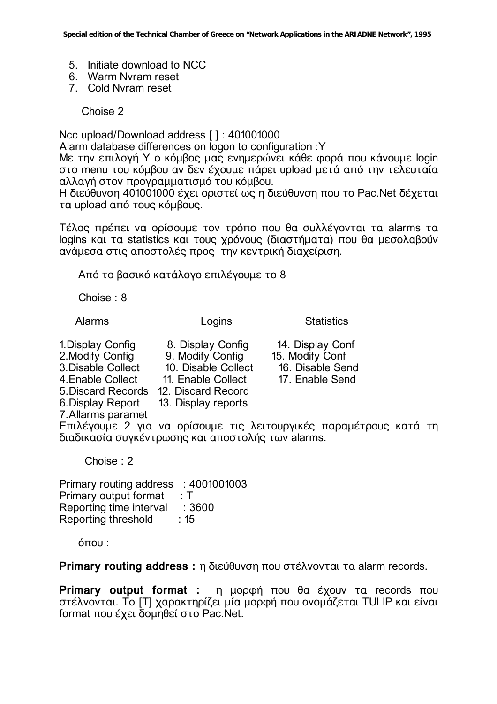- 5. Initiate download to NCC
- 6. Warm Nyram reset
- 7. Cold Nyram reset

Choise 2

Ncc upload/Download address [ ]: 401001000

Alarm database differences on logon to configuration : Y

Mε την επιλογή Y ο κόμβος μας ενημερώνει κάθε φορά που κάνουμε login στο menu του κόμβου αν δεν έχουμε πάρει upload μετά από την τελευταία αλλανή στον προνραμματισμό του κόμβου.

Η διεύθυνση 401001000 έχει οριστεί ως η διεύθυνση που το Pac. Net δέχεται τα upload από τους κόμβους.

Τέλος πρέπει να ορίσουμε τον τρόπο που θα συλλέγονται τα alarms τα logins και τα statistics και τους χρόνους (διαστήματα) που θα μεσολαβούν ανάμεσα στις αποστολές προς την κεντρική διαχείριση.

Από το βασικό κατάλογο επιλέγουμε το 8

Choise:  $8$ 

**Alarms** 

Logins

8. Display Config

10. Disable Collect

9. Modify Config

11. Enable Collect

13. Display reports

**Statistics** 

14. Display Conf

16. Disable Send

17. Enable Send

15. Modify Conf

1. Display Config 2. Modify Config 3. Disable Collect 4. Enable Collect 5. Discard Records 12. Discard Record 6. Display Report 7. Allarms paramet

Επιλέγουμε 2 για να ορίσουμε τις λειτουργικές παραμέτρους κατά τη διαδικασία συγκέντρωσης και αποστολής των alarms.

Choise  $\cdot$  2

Primary routing address : 4001001003 Primary output format  $\cdot$  T Reporting time interval : 3600  $\cdot$  15 Reporting threshold

 $<sub>0</sub>π<sub>0</sub>$ </sub>

Primary routing address: η διεύθυνση που στέλνονται τα alarm records.

Primary output format: η μορφή που θα έχουν τα records που στέλνονται. Το [T] χαρακτηρίζει μία μορφή που ονομάζεται TULIP και είναι format που έχει δομηθεί στο Pac.Net.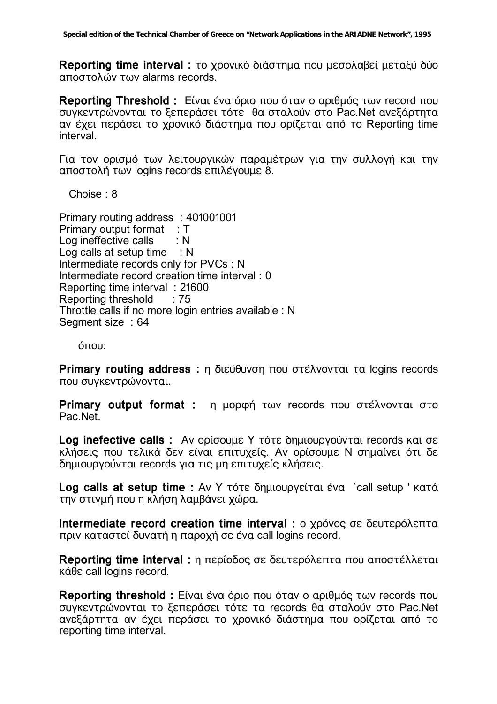Reporting time interval: το χρονικό διάστημα που μεσολαβεί μεταξύ δύο αποστολών των alarms records.

Reporting Threshold: Είναι ένα όριο που όταν ο αριθμός των record που συγκεντρώνονται το ξεπεράσει τότε θα σταλούν στο Pac. Net ανεξάρτητα αν έχει περάσει το χρονικό διάστημα που ορίζεται από το Reporting time interval.

Για τον ορισμό των λειτουργικών παραμέτρων για την συλλογή και την αποστολή των logins records επιλένουμε 8.

Choise:  $8$ 

Primary routing address: 401001001 Primary output format : T Log ineffective calls  $: N$ Log calls at setup time  $\therefore$  N Intermediate records only for PVCs : N Intermediate record creation time interval : 0 Reporting time interval: 21600 Reporting threshold  $\therefore$  75 Throttle calls if no more login entries available : N Segment size: 64

όπου:

Primary routing address : η διεύθυνση που στέλνονται τα logins records που συγκεντρώνονται.

Primary output format : η μορφή των records που στέλνονται στο Pac.Net.

Log inefective calls : Αν ορίσουμε Υ τότε δημιουργούνται records και σε κλήσεις που τελικά δεν είναι επιτυχείς. Αν ορίσουμε Ν σημαίνει ότι δε δημιουργούνται records για τις μη επιτυχείς κλήσεις.

Log calls at setup time : Aν Y τότε δημιουργείται ένα `call setup ' κατά την στινμή που η κλήση λαμβάνει χώρα.

Intermediate record creation time interval : ο χρόνος σε δευτερόλεπτα πριν καταστεί δυνατή η παροχή σε ένα call logins record.

Reporting time interval: η περίοδος σε δευτερόλεπτα που αποστέλλεται κάθε call logins record.

Reporting threshold: Είναι ένα όριο που όταν ο αριθμός των records που συγκεντρώνονται το ξεπεράσει τότε τα records θα σταλούν στο Pac.Net ανεξάρτητα αν έχει περάσει το χρονικό διάστημα που ορίζεται από το reporting time interval.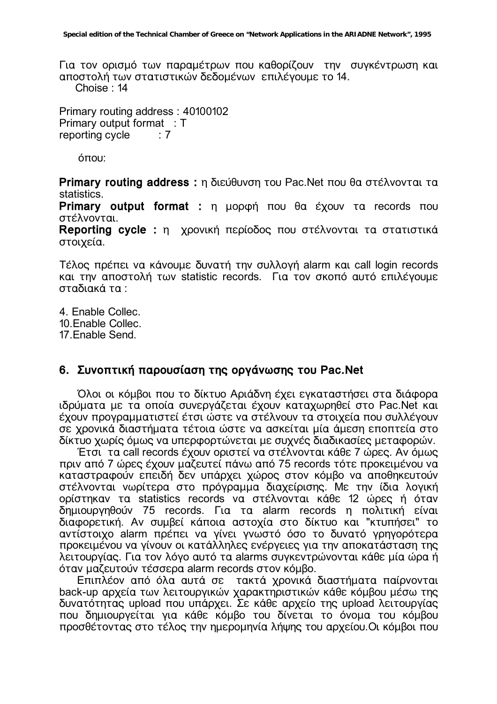Για τον ορισμό των παραμέτρων που καθορίζουν την συγκέντρωση και αποστολή των στατιστικών δεδομένων επιλέγουμε το 14. Choise: 14

Primary routing address: 40100102 Primary output format: T reporting cycle  $: 7$ 

 $6$  $\pi$ ou:

Primary routing address: η διεύθυνση του Pac. Net που θα στέλνονται τα statistics.

Primary output format : η μορφή που θα έχουν τα records που στέλνονται.

Reporting cycle : η χρονική περίοδος που στέλνονται τα στατιστικά στοιχεία.

Τέλος πρέπει να κάνουμε δυνατή την συλλογή alarm και call login records και την αποστολή των statistic records. Για τον σκοπό αυτό επιλέγουμε σταδιακά τα :

4 Fnable Collec 10. Enable Collec. 17 Fnable Send

#### 6. Συνοπτική παρουσίαση της οργάνωσης του Pac. Net

Όλοι οι κόμβοι που το δίκτυο Αριάδνη έχει εγκαταστήσει στα διάφορα ιδρύματα με τα οποία συνεργάζεται έχουν καταχωρηθεί στο Pac.Net και έχουν προγραμματιστεί έτσι ώστε να στέλνουν τα στοιχεία που συλλέγουν σε χρονικά διαστήματα τέτοια ώστε να ασκείται μία άμεση εποπτεία στο δίκτυο χωρίς όμως να υπερφορτώνεται με συχνές διαδικασίες μεταφορών.

Έτσι τα call records έχουν οριστεί να στέλνονται κάθε 7 ώρες. Αν όμως πριν από 7 ώρες έχουν μαζευτεί πάνω από 75 records τότε προκειμένου να καταστραφούν επειδή δεν υπάρχει χώρος στον κόμβο να αποθηκευτούν στέλνονται νωρίτερα στο πρόγραμμα διαχείρισης. Με την ίδια λογική ορίστηκαν τα statistics records να στέλνονται κάθε 12 ώρες ή όταν δημιουργηθούν 75 records. Για τα alarm records η πολιτική είναι διαφορετική. Αν συμβεί κάποια αστοχία στο δίκτυο και "κτυπήσει" το αντίστοιχο alarm πρέπει να γίνει γνωστό όσο το δυνατό γρηγορότερα προκειμένου να γίνουν οι κατάλληλες ενέργειες για την αποκατάσταση της λειτουργίας. Για τον λόγο αυτό τα alarms συγκεντρώνονται κάθε μία ώρα ή όταν μαζευτούν τέσσερα alarm records στον κόμβο.

Επιπλέον από όλα αυτά σε τακτά χρονικά διαστήματα παίρνονται<br>back-up αρχεία των λειτουργικών χαρακτηριστικών κάθε κόμβου μέσω της δυνατότητας upload που υπάρχει. Σε κάθε αρχείο της upload λειτουργίας που δημιουργείται για κάθε κόμβο του δίνεται το όνομα του κόμβου προσθέτοντας στο τέλος την ημερομηνία λήψης του αρχείου. Οι κόμβοι που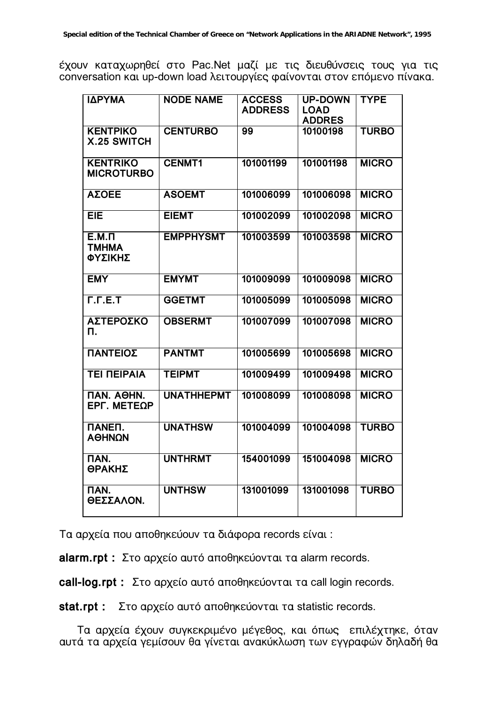έχουν καταχωρηθεί στο Pac.Net μαζί με τις διευθύνσεις τους για τις conversation και up-down load λειτουργίες φαίνονται στον επόμενο πίνακα.

| ΙΔΡΥΜΑ                                | <b>NODE NAME</b>  | <b>ACCESS</b><br><b>ADDRESS</b> | <b>UP-DOWN</b><br><b>LOAD</b><br><b>ADDRES</b> | <b>TYPE</b>  |
|---------------------------------------|-------------------|---------------------------------|------------------------------------------------|--------------|
| <b>KENTPIKO</b><br><b>X.25 SWITCH</b> | <b>CENTURBO</b>   | 99                              | 10100198                                       | <b>TURBO</b> |
| <b>KENTRIKO</b><br><b>MICROTURBO</b>  | <b>CENMT1</b>     | 101001199                       | 101001198                                      | <b>MICRO</b> |
| <b>ΑΣΟΕΕ</b>                          | <b>ASOEMT</b>     | 101006099                       | 101006098                                      | <b>MICRO</b> |
| <b>EIE</b>                            | <b>EIEMT</b>      | 101002099                       | 101002098                                      | <b>MICRO</b> |
| $E.M.\Pi$<br><b>TMHMA</b><br>ΦΥΣΙΚΗΣ  | <b>EMPPHYSMT</b>  | 101003599                       | 101003598                                      | <b>MICRO</b> |
| <b>EMY</b>                            | <b>EMYMT</b>      | 101009099                       | 101009098                                      | <b>MICRO</b> |
| F.F.E.T                               | <b>GGETMT</b>     | 101005099                       | 101005098                                      | <b>MICRO</b> |
| ΑΣΤΕΡΟΣΚΟ<br>п.                       | <b>OBSERMT</b>    | 101007099                       | 101007098                                      | <b>MICRO</b> |
| ΠΑΝΤΕΙΟΣ                              | <b>PANTMT</b>     | 101005699                       | 101005698                                      | <b>MICRO</b> |
| <b>TEI NEIPAIA</b>                    | <b>TEIPMT</b>     | 101009499                       | 101009498                                      | <b>MICRO</b> |
| ПАН. АӨНН.<br>EPF. METEQP             | <b>UNATHHEPMT</b> | 101008099                       | 101008098                                      | <b>MICRO</b> |
| <b>NANEN.</b><br>ΑΘΗΝΩΝ               | <b>UNATHSW</b>    | 101004099                       | 101004098                                      | <b>TURBO</b> |
| <b>NAN.</b><br>ΘΡΑΚΗΣ                 | <b>UNTHRMT</b>    | 154001099                       | 151004098                                      | <b>MICRO</b> |
| <b>NAN.</b><br>ΘΕΣΣΑΛΟΝ.              | <b>UNTHSW</b>     | 131001099                       | 131001098                                      | <b>TURBO</b> |

Tα αρχεία που αποθηκεύουν τα διάφορα records είναι:

alarm.rpt : Στο αρχείο αυτό αποθηκεύονται τα alarm records.

call-log.rpt : Στο αρχείο αυτό αποθηκεύονται τα call login records.

Στο αρχείο αυτό αποθηκεύονται τα statistic records. stat.rpt:

Τα αρχεία έχουν συγκεκριμένο μέγεθος, και όπως επιλέχτηκε, όταν αυτά τα αρχεία γεμίσουν θα γίνεται ανακύκλωση των εγγραφών δηλαδή θα